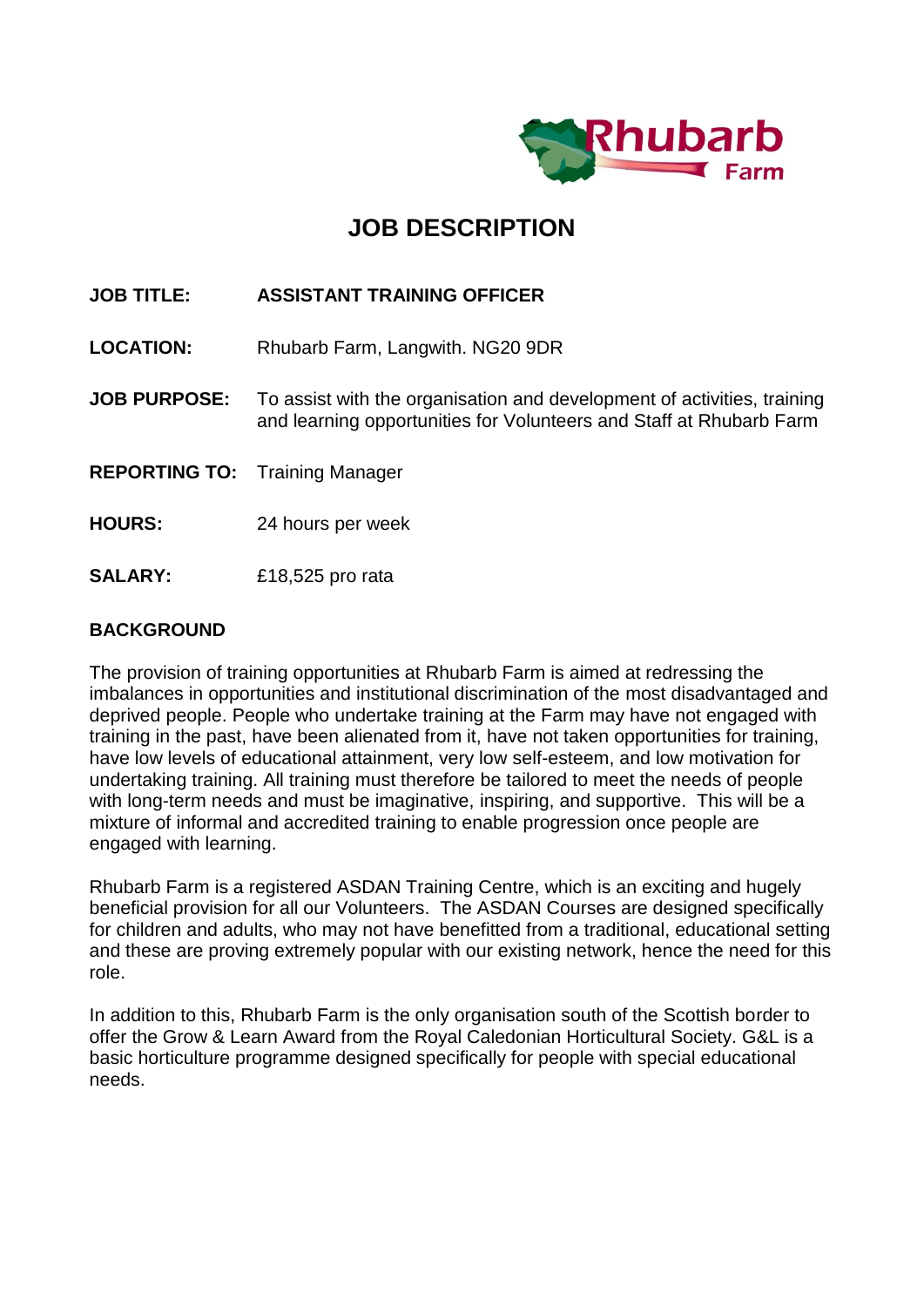

## **JOB DESCRIPTION**

### **JOB TITLE: ASSISTANT TRAINING OFFICER**

**LOCATION:** Rhubarb Farm, Langwith. NG20 9DR

- **JOB PURPOSE:** To assist with the organisation and development of activities, training and learning opportunities for Volunteers and Staff at Rhubarb Farm
- **REPORTING TO:** Training Manager
- **HOURS:** 24 hours per week
- **SALARY:** £18,525 pro rata

#### **BACKGROUND**

The provision of training opportunities at Rhubarb Farm is aimed at redressing the imbalances in opportunities and institutional discrimination of the most disadvantaged and deprived people. People who undertake training at the Farm may have not engaged with training in the past, have been alienated from it, have not taken opportunities for training, have low levels of educational attainment, very low self-esteem, and low motivation for undertaking training. All training must therefore be tailored to meet the needs of people with long-term needs and must be imaginative, inspiring, and supportive. This will be a mixture of informal and accredited training to enable progression once people are engaged with learning.

Rhubarb Farm is a registered ASDAN Training Centre, which is an exciting and hugely beneficial provision for all our Volunteers. The ASDAN Courses are designed specifically for children and adults, who may not have benefitted from a traditional, educational setting and these are proving extremely popular with our existing network, hence the need for this role.

In addition to this, Rhubarb Farm is the only organisation south of the Scottish border to offer the Grow & Learn Award from the Royal Caledonian Horticultural Society. G&L is a basic horticulture programme designed specifically for people with special educational needs.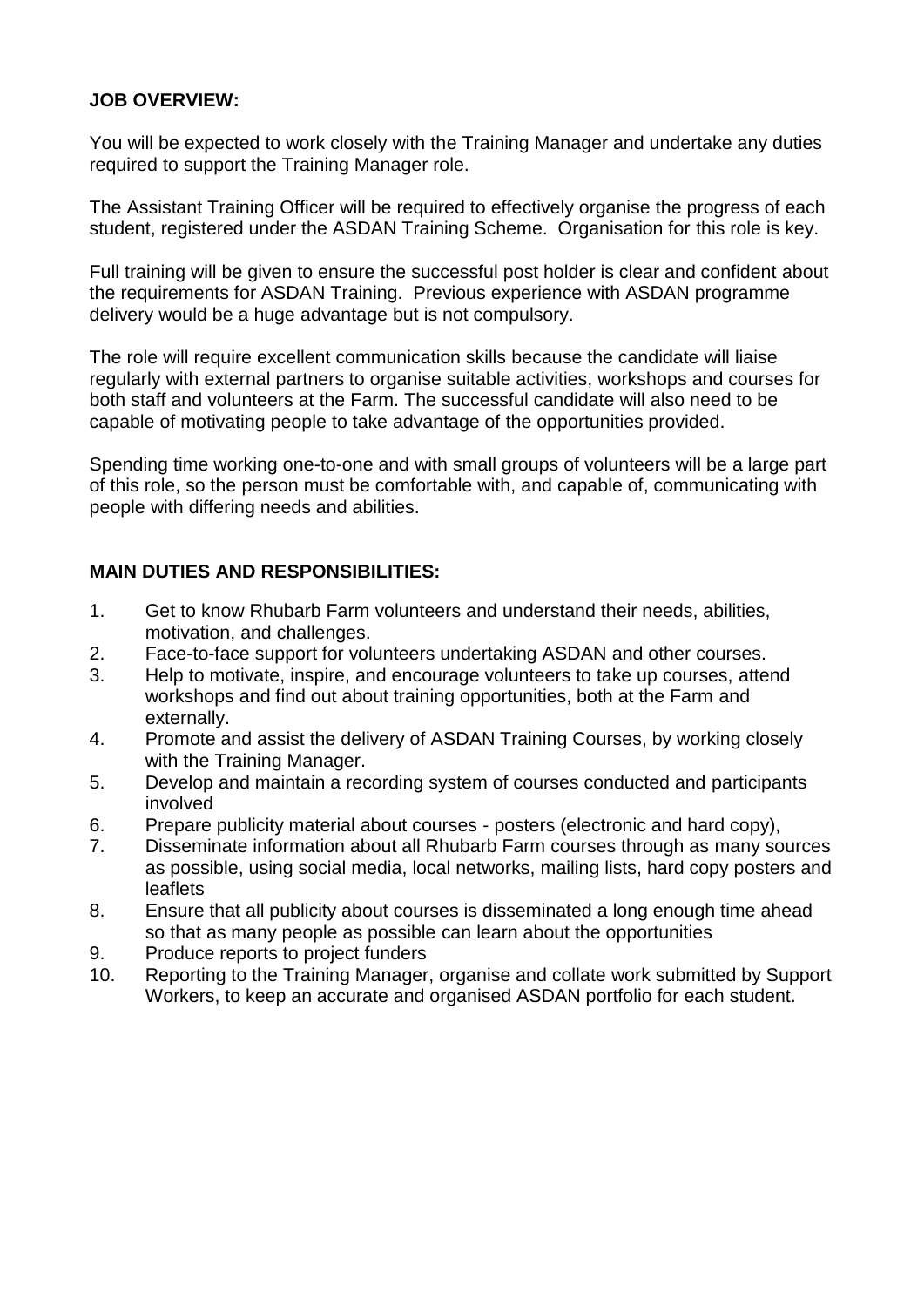### **JOB OVERVIEW:**

You will be expected to work closely with the Training Manager and undertake any duties required to support the Training Manager role.

The Assistant Training Officer will be required to effectively organise the progress of each student, registered under the ASDAN Training Scheme. Organisation for this role is key.

Full training will be given to ensure the successful post holder is clear and confident about the requirements for ASDAN Training. Previous experience with ASDAN programme delivery would be a huge advantage but is not compulsory.

The role will require excellent communication skills because the candidate will liaise regularly with external partners to organise suitable activities, workshops and courses for both staff and volunteers at the Farm. The successful candidate will also need to be capable of motivating people to take advantage of the opportunities provided.

Spending time working one-to-one and with small groups of volunteers will be a large part of this role, so the person must be comfortable with, and capable of, communicating with people with differing needs and abilities.

### **MAIN DUTIES AND RESPONSIBILITIES:**

- 1. Get to know Rhubarb Farm volunteers and understand their needs, abilities, motivation, and challenges.
- 2. Face-to-face support for volunteers undertaking ASDAN and other courses.
- 3. Help to motivate, inspire, and encourage volunteers to take up courses, attend workshops and find out about training opportunities, both at the Farm and externally.
- 4. Promote and assist the delivery of ASDAN Training Courses, by working closely with the Training Manager.
- 5. Develop and maintain a recording system of courses conducted and participants involved
- 6. Prepare publicity material about courses posters (electronic and hard copy),
- 7. Disseminate information about all Rhubarb Farm courses through as many sources as possible, using social media, local networks, mailing lists, hard copy posters and leaflets
- 8. Ensure that all publicity about courses is disseminated a long enough time ahead so that as many people as possible can learn about the opportunities
- 9. Produce reports to project funders
- 10. Reporting to the Training Manager, organise and collate work submitted by Support Workers, to keep an accurate and organised ASDAN portfolio for each student.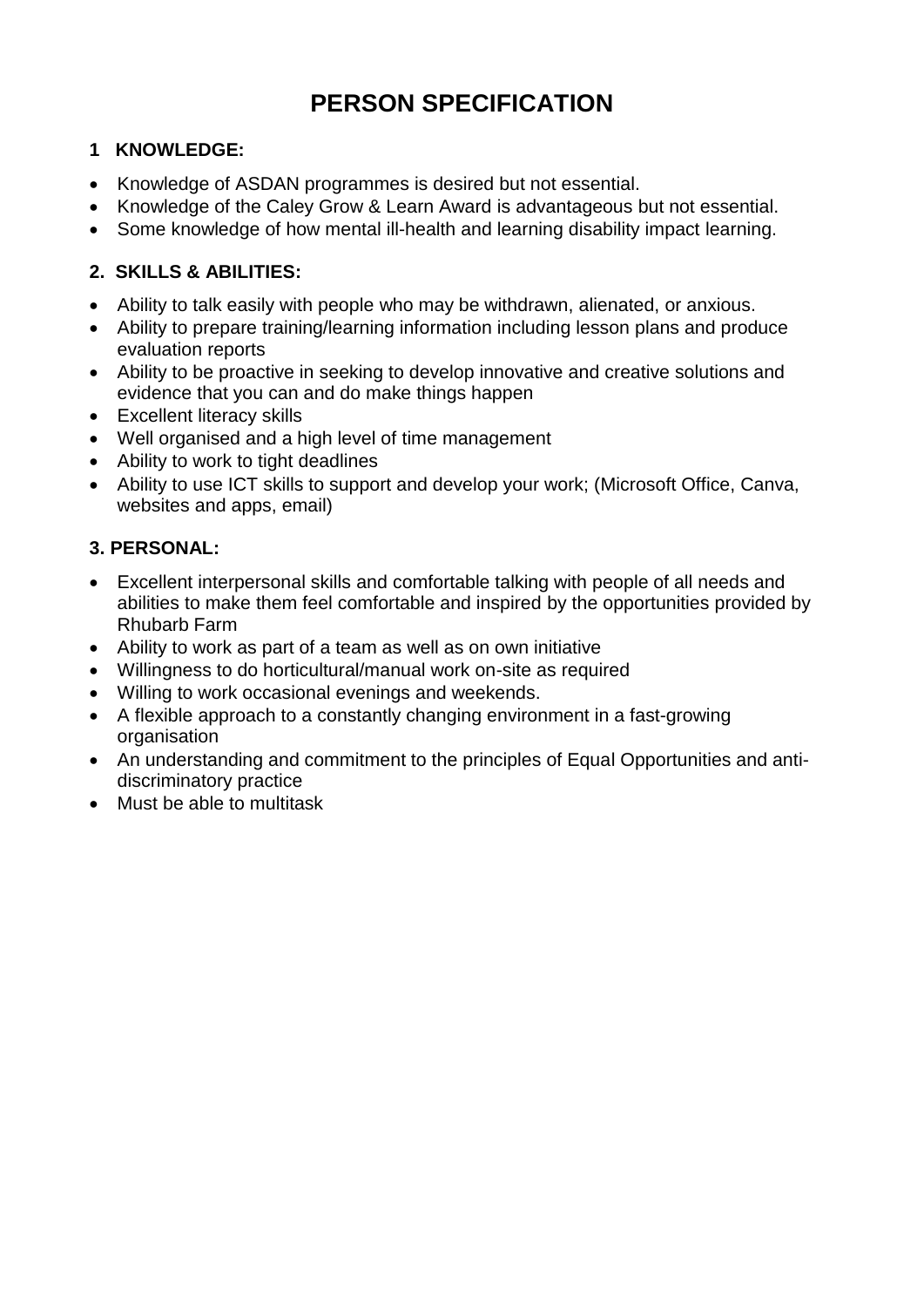# **PERSON SPECIFICATION**

### **1 KNOWLEDGE:**

- Knowledge of ASDAN programmes is desired but not essential.
- Knowledge of the Caley Grow & Learn Award is advantageous but not essential.
- Some knowledge of how mental ill-health and learning disability impact learning.

### **2. SKILLS & ABILITIES:**

- Ability to talk easily with people who may be withdrawn, alienated, or anxious.
- Ability to prepare training/learning information including lesson plans and produce evaluation reports
- Ability to be proactive in seeking to develop innovative and creative solutions and evidence that you can and do make things happen
- Excellent literacy skills
- Well organised and a high level of time management
- Ability to work to tight deadlines
- Ability to use ICT skills to support and develop your work; (Microsoft Office, Canva, websites and apps, email)

### **3. PERSONAL:**

- Excellent interpersonal skills and comfortable talking with people of all needs and abilities to make them feel comfortable and inspired by the opportunities provided by Rhubarb Farm
- Ability to work as part of a team as well as on own initiative
- Willingness to do horticultural/manual work on-site as required
- Willing to work occasional evenings and weekends.
- A flexible approach to a constantly changing environment in a fast-growing organisation
- An understanding and commitment to the principles of Equal Opportunities and antidiscriminatory practice
- Must be able to multitask